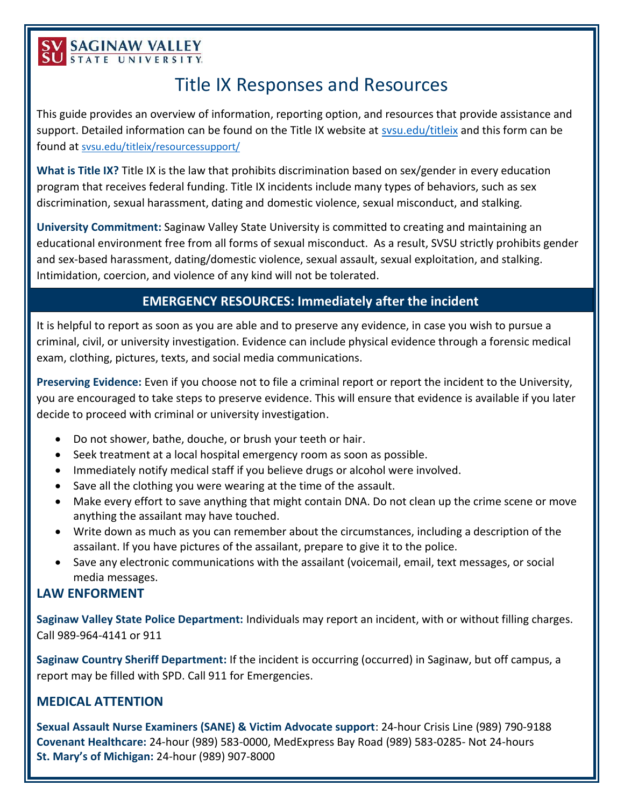# **SV SAGINAW VALLEY**

# Title IX Responses and Resources

This guide provides an overview of information, reporting option, and resources that provide assistance and support. Detailed information can be found on the Title IX website at [svsu.edu/titleix](https://www.svsu.edu/titleix/) and this form can be found at [svsu.edu/titleix/resourcessupport/](https://www.svsu.edu/titleix/resourcessupport/)

**What is Title IX?** Title IX is the law that prohibits discrimination based on sex/gender in every education program that receives federal funding. Title IX incidents include many types of behaviors, such as sex discrimination, sexual harassment, dating and domestic violence, sexual misconduct, and stalking.

**University Commitment:** Saginaw Valley State University is committed to creating and maintaining an educational environment free from all forms of sexual misconduct. As a result, SVSU strictly prohibits gender and sex-based harassment, dating/domestic violence, sexual assault, sexual exploitation, and stalking. Intimidation, coercion, and violence of any kind will not be tolerated.

# **EMERGENCY RESOURCES: Immediately after the incident**

It is helpful to report as soon as you are able and to preserve any evidence, in case you wish to pursue a criminal, civil, or university investigation. Evidence can include physical evidence through a forensic medical exam, clothing, pictures, texts, and social media communications.

**Preserving Evidence:** Even if you choose not to file a criminal report or report the incident to the University, you are encouraged to take steps to preserve evidence. This will ensure that evidence is available if you later decide to proceed with criminal or university investigation.

- Do not shower, bathe, douche, or brush your teeth or hair.
- Seek treatment at a local hospital emergency room as soon as possible.
- Immediately notify medical staff if you believe drugs or alcohol were involved.
- Save all the clothing you were wearing at the time of the assault.
- Make every effort to save anything that might contain DNA. Do not clean up the crime scene or move anything the assailant may have touched.
- Write down as much as you can remember about the circumstances, including a description of the assailant. If you have pictures of the assailant, prepare to give it to the police.
- Save any electronic communications with the assailant (voicemail, email, text messages, or social media messages.

### **LAW ENFORMENT**

**Saginaw Valley State Police Department:** Individuals may report an incident, with or without filling charges. Call 989-964-4141 or 911

**Saginaw Country Sheriff Department:** If the incident is occurring (occurred) in Saginaw, but off campus, a report may be filled with SPD. Call 911 for Emergencies.

# **MEDICAL ATTENTION**

**Sexual Assault Nurse Examiners (SANE) & Victim Advocate support**: 24-hour Crisis Line (989) 790-9188 **Covenant Healthcare:** 24-hour (989) 583-0000, MedExpress Bay Road (989) 583-0285- Not 24-hours **St. Mary's of Michigan:** 24-hour (989) 907-8000